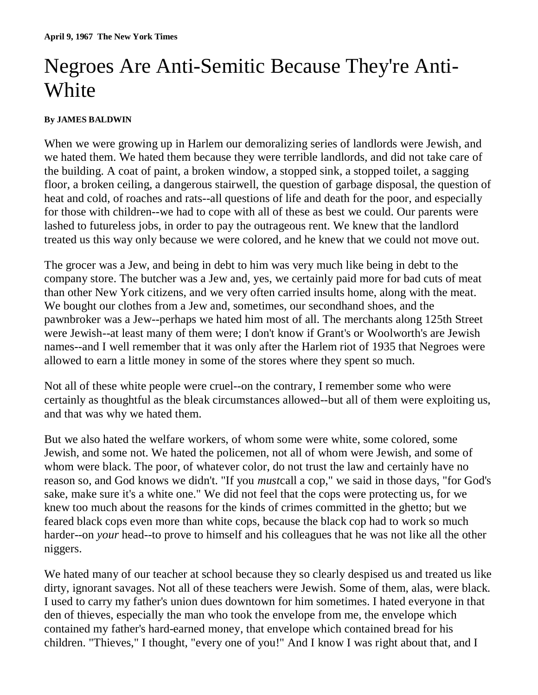## Negroes Are Anti-Semitic Because They're Anti-**White**

## **By JAMES BALDWIN**

When we were growing up in Harlem our demoralizing series of landlords were Jewish, and we hated them. We hated them because they were terrible landlords, and did not take care of the building. A coat of paint, a broken window, a stopped sink, a stopped toilet, a sagging floor, a broken ceiling, a dangerous stairwell, the question of garbage disposal, the question of heat and cold, of roaches and rats--all questions of life and death for the poor, and especially for those with children--we had to cope with all of these as best we could. Our parents were lashed to futureless jobs, in order to pay the outrageous rent. We knew that the landlord treated us this way only because we were colored, and he knew that we could not move out.

The grocer was a Jew, and being in debt to him was very much like being in debt to the company store. The butcher was a Jew and, yes, we certainly paid more for bad cuts of meat than other New York citizens, and we very often carried insults home, along with the meat. We bought our clothes from a Jew and, sometimes, our secondhand shoes, and the pawnbroker was a Jew--perhaps we hated him most of all. The merchants along 125th Street were Jewish--at least many of them were; I don't know if Grant's or Woolworth's are Jewish names--and I well remember that it was only after the Harlem riot of 1935 that Negroes were allowed to earn a little money in some of the stores where they spent so much.

Not all of these white people were cruel--on the contrary, I remember some who were certainly as thoughtful as the bleak circumstances allowed--but all of them were exploiting us, and that was why we hated them.

But we also hated the welfare workers, of whom some were white, some colored, some Jewish, and some not. We hated the policemen, not all of whom were Jewish, and some of whom were black. The poor, of whatever color, do not trust the law and certainly have no reason so, and God knows we didn't. "If you *must*call a cop," we said in those days, "for God's sake, make sure it's a white one." We did not feel that the cops were protecting us, for we knew too much about the reasons for the kinds of crimes committed in the ghetto; but we feared black cops even more than white cops, because the black cop had to work so much harder--on *your* head--to prove to himself and his colleagues that he was not like all the other niggers.

We hated many of our teacher at school because they so clearly despised us and treated us like dirty, ignorant savages. Not all of these teachers were Jewish. Some of them, alas, were black. I used to carry my father's union dues downtown for him sometimes. I hated everyone in that den of thieves, especially the man who took the envelope from me, the envelope which contained my father's hard-earned money, that envelope which contained bread for his children. "Thieves," I thought, "every one of you!" And I know I was right about that, and I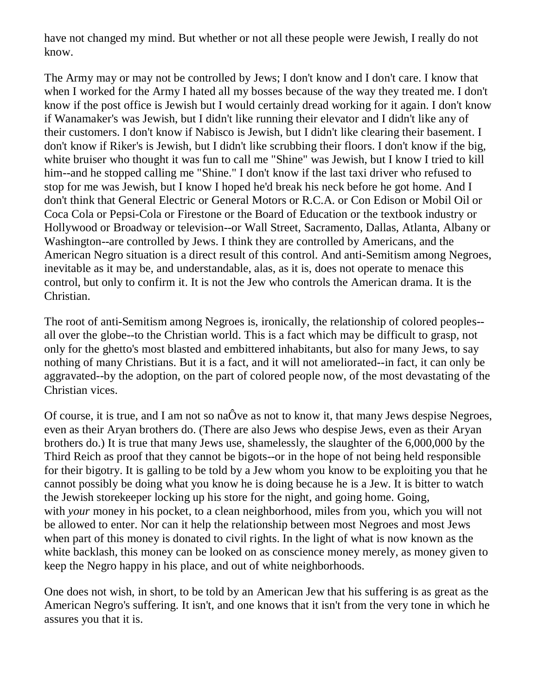have not changed my mind. But whether or not all these people were Jewish, I really do not know.

The Army may or may not be controlled by Jews; I don't know and I don't care. I know that when I worked for the Army I hated all my bosses because of the way they treated me. I don't know if the post office is Jewish but I would certainly dread working for it again. I don't know if Wanamaker's was Jewish, but I didn't like running their elevator and I didn't like any of their customers. I don't know if Nabisco is Jewish, but I didn't like clearing their basement. I don't know if Riker's is Jewish, but I didn't like scrubbing their floors. I don't know if the big, white bruiser who thought it was fun to call me "Shine" was Jewish, but I know I tried to kill him--and he stopped calling me "Shine." I don't know if the last taxi driver who refused to stop for me was Jewish, but I know I hoped he'd break his neck before he got home. And I don't think that General Electric or General Motors or R.C.A. or Con Edison or Mobil Oil or Coca Cola or Pepsi-Cola or Firestone or the Board of Education or the textbook industry or Hollywood or Broadway or television--or Wall Street, Sacramento, Dallas, Atlanta, Albany or Washington--are controlled by Jews. I think they are controlled by Americans, and the American Negro situation is a direct result of this control. And anti-Semitism among Negroes, inevitable as it may be, and understandable, alas, as it is, does not operate to menace this control, but only to confirm it. It is not the Jew who controls the American drama. It is the Christian.

The root of anti-Semitism among Negroes is, ironically, the relationship of colored peoples- all over the globe--to the Christian world. This is a fact which may be difficult to grasp, not only for the ghetto's most blasted and embittered inhabitants, but also for many Jews, to say nothing of many Christians. But it is a fact, and it will not ameliorated--in fact, it can only be aggravated--by the adoption, on the part of colored people now, of the most devastating of the Christian vices.

Of course, it is true, and I am not so naÔve as not to know it, that many Jews despise Negroes, even as their Aryan brothers do. (There are also Jews who despise Jews, even as their Aryan brothers do.) It is true that many Jews use, shamelessly, the slaughter of the 6,000,000 by the Third Reich as proof that they cannot be bigots--or in the hope of not being held responsible for their bigotry. It is galling to be told by a Jew whom you know to be exploiting you that he cannot possibly be doing what you know he is doing because he is a Jew. It is bitter to watch the Jewish storekeeper locking up his store for the night, and going home. Going, with *your* money in his pocket, to a clean neighborhood, miles from you, which you will not be allowed to enter. Nor can it help the relationship between most Negroes and most Jews when part of this money is donated to civil rights. In the light of what is now known as the white backlash, this money can be looked on as conscience money merely, as money given to keep the Negro happy in his place, and out of white neighborhoods.

One does not wish, in short, to be told by an American Jew that his suffering is as great as the American Negro's suffering. It isn't, and one knows that it isn't from the very tone in which he assures you that it is.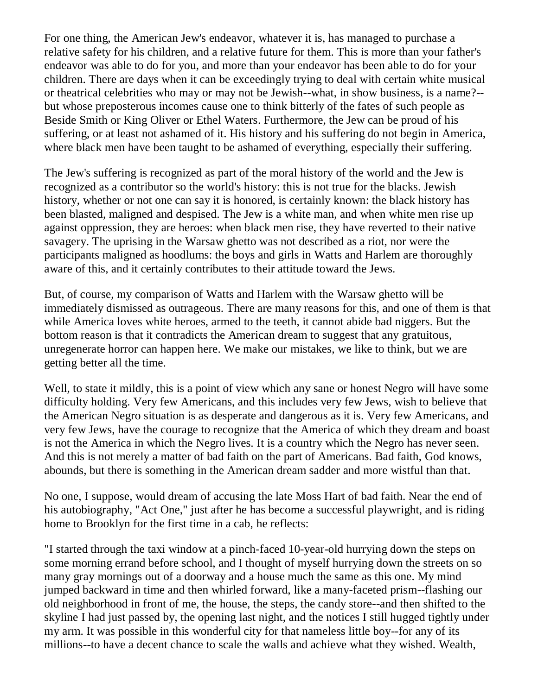For one thing, the American Jew's endeavor, whatever it is, has managed to purchase a relative safety for his children, and a relative future for them. This is more than your father's endeavor was able to do for you, and more than your endeavor has been able to do for your children. There are days when it can be exceedingly trying to deal with certain white musical or theatrical celebrities who may or may not be Jewish--what, in show business, is a name?- but whose preposterous incomes cause one to think bitterly of the fates of such people as Beside Smith or King Oliver or Ethel Waters. Furthermore, the Jew can be proud of his suffering, or at least not ashamed of it. His history and his suffering do not begin in America, where black men have been taught to be ashamed of everything, especially their suffering.

The Jew's suffering is recognized as part of the moral history of the world and the Jew is recognized as a contributor so the world's history: this is not true for the blacks. Jewish history, whether or not one can say it is honored, is certainly known: the black history has been blasted, maligned and despised. The Jew is a white man, and when white men rise up against oppression, they are heroes: when black men rise, they have reverted to their native savagery. The uprising in the Warsaw ghetto was not described as a riot, nor were the participants maligned as hoodlums: the boys and girls in Watts and Harlem are thoroughly aware of this, and it certainly contributes to their attitude toward the Jews.

But, of course, my comparison of Watts and Harlem with the Warsaw ghetto will be immediately dismissed as outrageous. There are many reasons for this, and one of them is that while America loves white heroes, armed to the teeth, it cannot abide bad niggers. But the bottom reason is that it contradicts the American dream to suggest that any gratuitous, unregenerate horror can happen here. We make our mistakes, we like to think, but we are getting better all the time.

Well, to state it mildly, this is a point of view which any sane or honest Negro will have some difficulty holding. Very few Americans, and this includes very few Jews, wish to believe that the American Negro situation is as desperate and dangerous as it is. Very few Americans, and very few Jews, have the courage to recognize that the America of which they dream and boast is not the America in which the Negro lives. It is a country which the Negro has never seen. And this is not merely a matter of bad faith on the part of Americans. Bad faith, God knows, abounds, but there is something in the American dream sadder and more wistful than that.

No one, I suppose, would dream of accusing the late Moss Hart of bad faith. Near the end of his autobiography, "Act One," just after he has become a successful playwright, and is riding home to Brooklyn for the first time in a cab, he reflects:

"I started through the taxi window at a pinch-faced 10-year-old hurrying down the steps on some morning errand before school, and I thought of myself hurrying down the streets on so many gray mornings out of a doorway and a house much the same as this one. My mind jumped backward in time and then whirled forward, like a many-faceted prism--flashing our old neighborhood in front of me, the house, the steps, the candy store--and then shifted to the skyline I had just passed by, the opening last night, and the notices I still hugged tightly under my arm. It was possible in this wonderful city for that nameless little boy--for any of its millions--to have a decent chance to scale the walls and achieve what they wished. Wealth,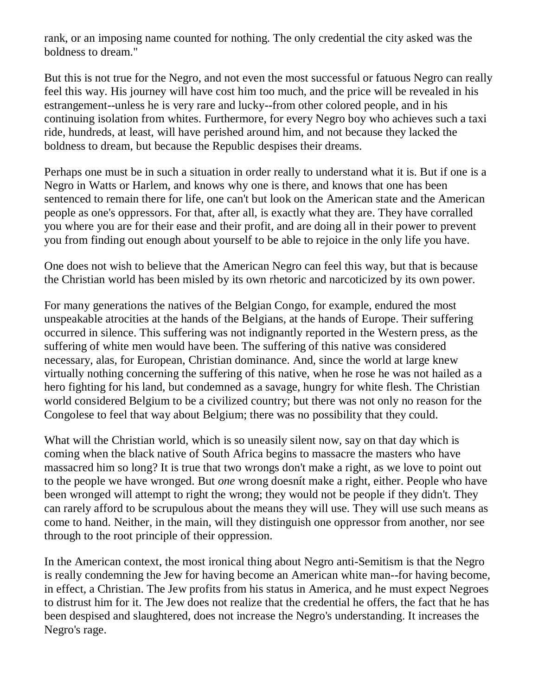rank, or an imposing name counted for nothing. The only credential the city asked was the boldness to dream."

But this is not true for the Negro, and not even the most successful or fatuous Negro can really feel this way. His journey will have cost him too much, and the price will be revealed in his estrangement--unless he is very rare and lucky--from other colored people, and in his continuing isolation from whites. Furthermore, for every Negro boy who achieves such a taxi ride, hundreds, at least, will have perished around him, and not because they lacked the boldness to dream, but because the Republic despises their dreams.

Perhaps one must be in such a situation in order really to understand what it is. But if one is a Negro in Watts or Harlem, and knows why one is there, and knows that one has been sentenced to remain there for life, one can't but look on the American state and the American people as one's oppressors. For that, after all, is exactly what they are. They have corralled you where you are for their ease and their profit, and are doing all in their power to prevent you from finding out enough about yourself to be able to rejoice in the only life you have.

One does not wish to believe that the American Negro can feel this way, but that is because the Christian world has been misled by its own rhetoric and narcoticized by its own power.

For many generations the natives of the Belgian Congo, for example, endured the most unspeakable atrocities at the hands of the Belgians, at the hands of Europe. Their suffering occurred in silence. This suffering was not indignantly reported in the Western press, as the suffering of white men would have been. The suffering of this native was considered necessary, alas, for European, Christian dominance. And, since the world at large knew virtually nothing concerning the suffering of this native, when he rose he was not hailed as a hero fighting for his land, but condemned as a savage, hungry for white flesh. The Christian world considered Belgium to be a civilized country; but there was not only no reason for the Congolese to feel that way about Belgium; there was no possibility that they could.

What will the Christian world, which is so uneasily silent now, say on that day which is coming when the black native of South Africa begins to massacre the masters who have massacred him so long? It is true that two wrongs don't make a right, as we love to point out to the people we have wronged. But *one* wrong doesnít make a right, either. People who have been wronged will attempt to right the wrong; they would not be people if they didn't. They can rarely afford to be scrupulous about the means they will use. They will use such means as come to hand. Neither, in the main, will they distinguish one oppressor from another, nor see through to the root principle of their oppression.

In the American context, the most ironical thing about Negro anti-Semitism is that the Negro is really condemning the Jew for having become an American white man--for having become, in effect, a Christian. The Jew profits from his status in America, and he must expect Negroes to distrust him for it. The Jew does not realize that the credential he offers, the fact that he has been despised and slaughtered, does not increase the Negro's understanding. It increases the Negro's rage.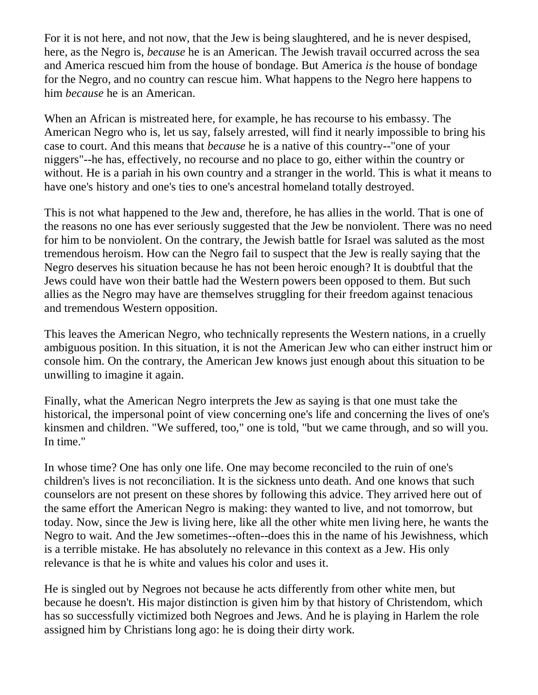For it is not here, and not now, that the Jew is being slaughtered, and he is never despised, here, as the Negro is, *because* he is an American. The Jewish travail occurred across the sea and America rescued him from the house of bondage. But America *is* the house of bondage for the Negro, and no country can rescue him. What happens to the Negro here happens to him *because* he is an American.

When an African is mistreated here, for example, he has recourse to his embassy. The American Negro who is, let us say, falsely arrested, will find it nearly impossible to bring his case to court. And this means that *because* he is a native of this country--"one of your niggers"--he has, effectively, no recourse and no place to go, either within the country or without. He is a pariah in his own country and a stranger in the world. This is what it means to have one's history and one's ties to one's ancestral homeland totally destroyed.

This is not what happened to the Jew and, therefore, he has allies in the world. That is one of the reasons no one has ever seriously suggested that the Jew be nonviolent. There was no need for him to be nonviolent. On the contrary, the Jewish battle for Israel was saluted as the most tremendous heroism. How can the Negro fail to suspect that the Jew is really saying that the Negro deserves his situation because he has not been heroic enough? It is doubtful that the Jews could have won their battle had the Western powers been opposed to them. But such allies as the Negro may have are themselves struggling for their freedom against tenacious and tremendous Western opposition.

This leaves the American Negro, who technically represents the Western nations, in a cruelly ambiguous position. In this situation, it is not the American Jew who can either instruct him or console him. On the contrary, the American Jew knows just enough about this situation to be unwilling to imagine it again.

Finally, what the American Negro interprets the Jew as saying is that one must take the historical, the impersonal point of view concerning one's life and concerning the lives of one's kinsmen and children. "We suffered, too," one is told, "but we came through, and so will you. In time."

In whose time? One has only one life. One may become reconciled to the ruin of one's children's lives is not reconciliation. It is the sickness unto death. And one knows that such counselors are not present on these shores by following this advice. They arrived here out of the same effort the American Negro is making: they wanted to live, and not tomorrow, but today. Now, since the Jew is living here, like all the other white men living here, he wants the Negro to wait. And the Jew sometimes--often--does this in the name of his Jewishness, which is a terrible mistake. He has absolutely no relevance in this context as a Jew. His only relevance is that he is white and values his color and uses it.

He is singled out by Negroes not because he acts differently from other white men, but because he doesn't. His major distinction is given him by that history of Christendom, which has so successfully victimized both Negroes and Jews. And he is playing in Harlem the role assigned him by Christians long ago: he is doing their dirty work.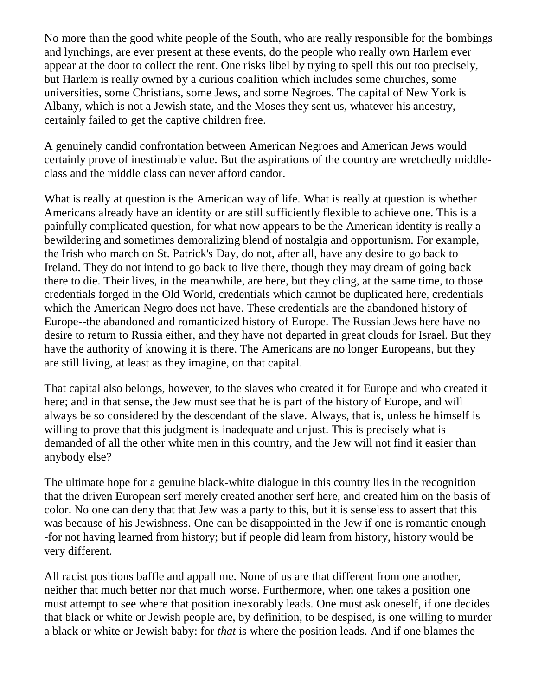No more than the good white people of the South, who are really responsible for the bombings and lynchings, are ever present at these events, do the people who really own Harlem ever appear at the door to collect the rent. One risks libel by trying to spell this out too precisely, but Harlem is really owned by a curious coalition which includes some churches, some universities, some Christians, some Jews, and some Negroes. The capital of New York is Albany, which is not a Jewish state, and the Moses they sent us, whatever his ancestry, certainly failed to get the captive children free.

A genuinely candid confrontation between American Negroes and American Jews would certainly prove of inestimable value. But the aspirations of the country are wretchedly middleclass and the middle class can never afford candor.

What is really at question is the American way of life. What is really at question is whether Americans already have an identity or are still sufficiently flexible to achieve one. This is a painfully complicated question, for what now appears to be the American identity is really a bewildering and sometimes demoralizing blend of nostalgia and opportunism. For example, the Irish who march on St. Patrick's Day, do not, after all, have any desire to go back to Ireland. They do not intend to go back to live there, though they may dream of going back there to die. Their lives, in the meanwhile, are here, but they cling, at the same time, to those credentials forged in the Old World, credentials which cannot be duplicated here, credentials which the American Negro does not have. These credentials are the abandoned history of Europe--the abandoned and romanticized history of Europe. The Russian Jews here have no desire to return to Russia either, and they have not departed in great clouds for Israel. But they have the authority of knowing it is there. The Americans are no longer Europeans, but they are still living, at least as they imagine, on that capital.

That capital also belongs, however, to the slaves who created it for Europe and who created it here; and in that sense, the Jew must see that he is part of the history of Europe, and will always be so considered by the descendant of the slave. Always, that is, unless he himself is willing to prove that this judgment is inadequate and unjust. This is precisely what is demanded of all the other white men in this country, and the Jew will not find it easier than anybody else?

The ultimate hope for a genuine black-white dialogue in this country lies in the recognition that the driven European serf merely created another serf here, and created him on the basis of color. No one can deny that that Jew was a party to this, but it is senseless to assert that this was because of his Jewishness. One can be disappointed in the Jew if one is romantic enough- -for not having learned from history; but if people did learn from history, history would be very different.

All racist positions baffle and appall me. None of us are that different from one another, neither that much better nor that much worse. Furthermore, when one takes a position one must attempt to see where that position inexorably leads. One must ask oneself, if one decides that black or white or Jewish people are, by definition, to be despised, is one willing to murder a black or white or Jewish baby: for *that* is where the position leads. And if one blames the